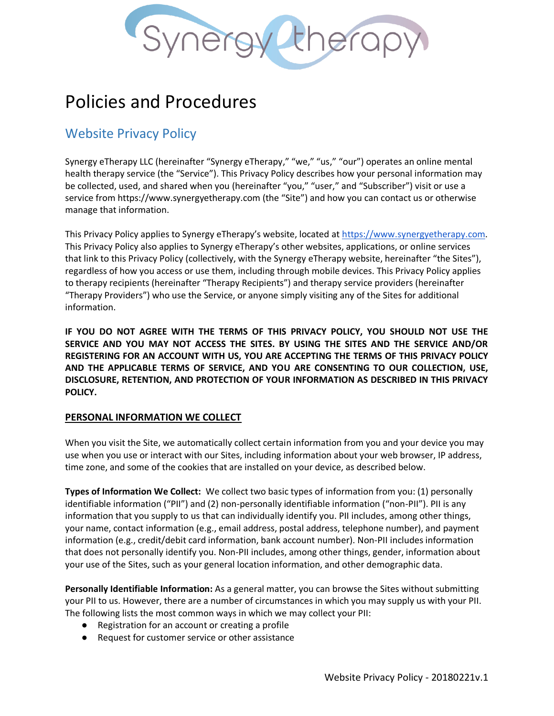# Policies and Procedures

# Website Privacy Policy

Synergy eTherapy LLC (hereinafter "Synergy eTherapy," "we," "us," "our") operates an online mental health therapy service (the "Service"). This Privacy Policy describes how your personal information may be collected, used, and shared when you (hereinafter "you," "user," and "Subscriber") visit or use a service from https://www.synergyetherapy.com (the "Site") and how you can contact us or otherwise manage that information.

This Privacy Policy applies to Synergy eTherapy's website, located at https://www.synergyetherapy.com. This Privacy Policy also applies to Synergy eTherapy's other websites, applications, or online services that link to this Privacy Policy (collectively, with the Synergy eTherapy website, hereinafter "the Sites"), regardless of how you access or use them, including through mobile devices. This Privacy Policy applies to therapy recipients (hereinafter "Therapy Recipients") and therapy service providers (hereinafter "Therapy Providers") who use the Service, or anyone simply visiting any of the Sites for additional information.

**IF YOU DO NOT AGREE WITH THE TERMS OF THIS PRIVACY POLICY, YOU SHOULD NOT USE THE SERVICE AND YOU MAY NOT ACCESS THE SITES. BY USING THE SITES AND THE SERVICE AND/OR REGISTERING FOR AN ACCOUNT WITH US, YOU ARE ACCEPTING THE TERMS OF THIS PRIVACY POLICY AND THE APPLICABLE TERMS OF SERVICE, AND YOU ARE CONSENTING TO OUR COLLECTION, USE, DISCLOSURE, RETENTION, AND PROTECTION OF YOUR INFORMATION AS DESCRIBED IN THIS PRIVACY POLICY.**

## **PERSONAL INFORMATION WE COLLECT**

When you visit the Site, we automatically collect certain information from you and your device you may use when you use or interact with our Sites, including information about your web browser, IP address, time zone, and some of the cookies that are installed on your device, as described below.

**Types of Information We Collect:** We collect two basic types of information from you: (1) personally identifiable information ("PII") and (2) non-personally identifiable information ("non-PII"). PII is any information that you supply to us that can individually identify you. PII includes, among other things, your name, contact information (e.g., email address, postal address, telephone number), and payment information (e.g., credit/debit card information, bank account number). Non-PII includes information that does not personally identify you. Non-PII includes, among other things, gender, information about your use of the Sites, such as your general location information, and other demographic data.

**Personally Identifiable Information:** As a general matter, you can browse the Sites without submitting your PII to us. However, there are a number of circumstances in which you may supply us with your PII. The following lists the most common ways in which we may collect your PII:

- Registration for an account or creating a profile
- Request for customer service or other assistance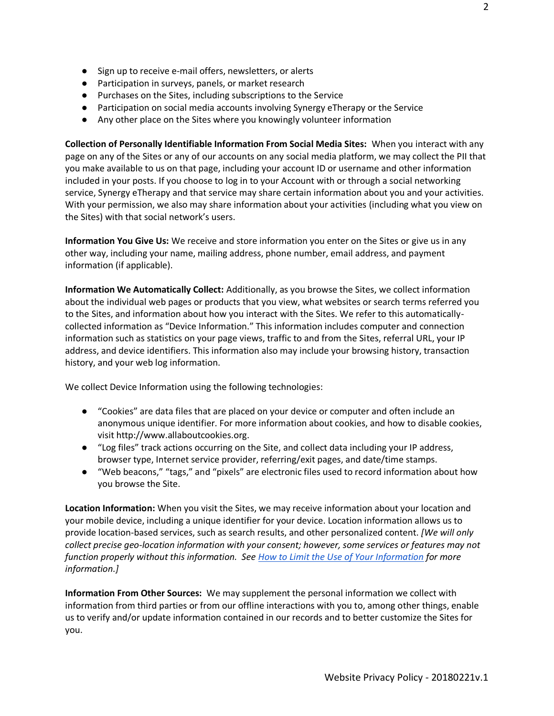- Sign up to receive e-mail offers, newsletters, or alerts
- Participation in surveys, panels, or market research
- Purchases on the Sites, including subscriptions to the Service
- Participation on social media accounts involving Synergy eTherapy or the Service
- Any other place on the Sites where you knowingly volunteer information

**Collection of Personally Identifiable Information From Social Media Sites:** When you interact with any page on any of the Sites or any of our accounts on any social media platform, we may collect the PII that you make available to us on that page, including your account ID or username and other information included in your posts. If you choose to log in to your Account with or through a social networking service, Synergy eTherapy and that service may share certain information about you and your activities. With your permission, we also may share information about your activities (including what you view on the Sites) with that social network's users.

**Information You Give Us:** We receive and store information you enter on the Sites or give us in any other way, including your name, mailing address, phone number, email address, and payment information (if applicable).

**Information We Automatically Collect:** Additionally, as you browse the Sites, we collect information about the individual web pages or products that you view, what websites or search terms referred you to the Sites, and information about how you interact with the Sites. We refer to this automaticallycollected information as "Device Information." This information includes computer and connection information such as statistics on your page views, traffic to and from the Sites, referral URL, your IP address, and device identifiers. This information also may include your browsing history, transaction history, and your web log information.

We collect Device Information using the following technologies:

- "Cookies" are data files that are placed on your device or computer and often include an anonymous unique identifier. For more information about cookies, and how to disable cookies, visit http://www.allaboutcookies.org.
- "Log files" track actions occurring on the Site, and collect data including your IP address, browser type, Internet service provider, referring/exit pages, and date/time stamps.
- "Web beacons," "tags," and "pixels" are electronic files used to record information about how you browse the Site.

**Location Information:** When you visit the Sites, we may receive information about your location and your mobile device, including a unique identifier for your device. Location information allows us to provide location-based services, such as search results, and other personalized content. *[We will only collect precise geo-location information with your consent; however, some services or features may not function properly without this information. See [How to Limit the Use of Your Information](https://docs.google.com/document/d/1qsmER421LVe7U6iJrZyzr20jV9sj6iROqPmJva4l1G0/edit#heading=h.2s8eyo1) for more information.]* 

**Information From Other Sources:** We may supplement the personal information we collect with information from third parties or from our offline interactions with you to, among other things, enable us to verify and/or update information contained in our records and to better customize the Sites for you.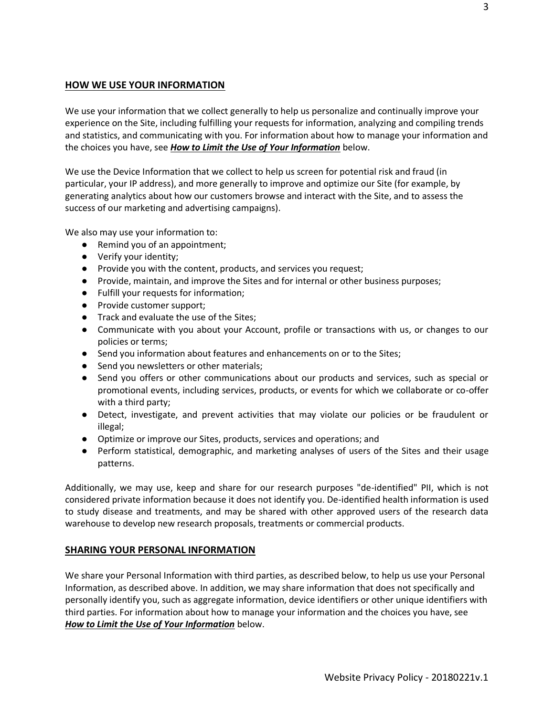### **HOW WE USE YOUR INFORMATION**

We use your information that we collect generally to help us personalize and continually improve your experience on the Site, including fulfilling your requests for information, analyzing and compiling trends and statistics, and communicating with you. For information about how to manage your information and the choices you have, see *How to Limit the Use of Your Information* below.

We use the Device Information that we collect to help us screen for potential risk and fraud (in particular, your IP address), and more generally to improve and optimize our Site (for example, by generating analytics about how our customers browse and interact with the Site, and to assess the success of our marketing and advertising campaigns).

We also may use your information to:

- Remind you of an appointment;
- Verify your identity;
- Provide you with the content, products, and services you request;
- Provide, maintain, and improve the Sites and for internal or other business purposes;
- Fulfill your requests for information;
- Provide customer support;
- Track and evaluate the use of the Sites;
- Communicate with you about your Account, profile or transactions with us, or changes to our policies or terms;
- Send you information about features and enhancements on or to the Sites;
- Send you newsletters or other materials;
- Send you offers or other communications about our products and services, such as special or promotional events, including services, products, or events for which we collaborate or co-offer with a third party;
- Detect, investigate, and prevent activities that may violate our policies or be fraudulent or illegal;
- Optimize or improve our Sites, products, services and operations; and
- Perform statistical, demographic, and marketing analyses of users of the Sites and their usage patterns.

Additionally, we may use, keep and share for our research purposes "de-identified" PII, which is not considered private information because it does not identify you. De-identified health information is used to study disease and treatments, and may be shared with other approved users of the research data warehouse to develop new research proposals, treatments or commercial products.

#### **SHARING YOUR PERSONAL INFORMATION**

We share your Personal Information with third parties, as described below, to help us use your Personal Information, as described above. In addition, we may share information that does not specifically and personally identify you, such as aggregate information, device identifiers or other unique identifiers with third parties. For information about how to manage your information and the choices you have, see *How to Limit the Use of Your Information* below.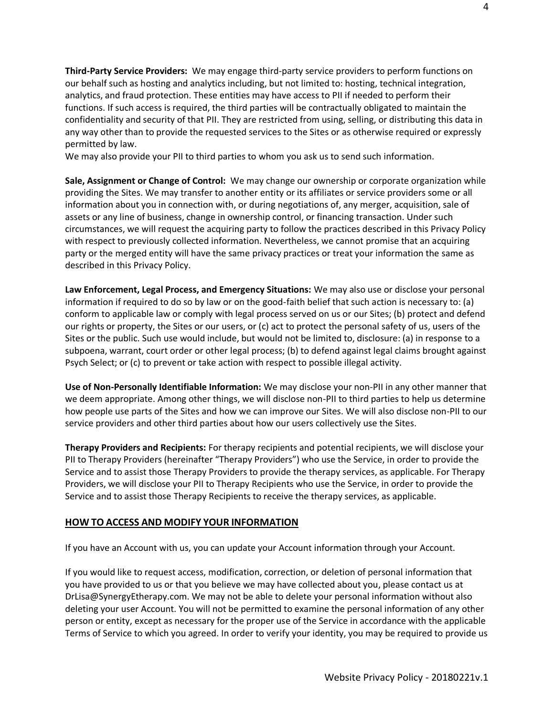**Third-Party Service Providers:** We may engage third-party service providers to perform functions on our behalf such as hosting and analytics including, but not limited to: hosting, technical integration, analytics, and fraud protection. These entities may have access to PII if needed to perform their functions. If such access is required, the third parties will be contractually obligated to maintain the confidentiality and security of that PII. They are restricted from using, selling, or distributing this data in any way other than to provide the requested services to the Sites or as otherwise required or expressly permitted by law.

We may also provide your PII to third parties to whom you ask us to send such information.

**Sale, Assignment or Change of Control:** We may change our ownership or corporate organization while providing the Sites. We may transfer to another entity or its affiliates or service providers some or all information about you in connection with, or during negotiations of, any merger, acquisition, sale of assets or any line of business, change in ownership control, or financing transaction. Under such circumstances, we will request the acquiring party to follow the practices described in this Privacy Policy with respect to previously collected information. Nevertheless, we cannot promise that an acquiring party or the merged entity will have the same privacy practices or treat your information the same as described in this Privacy Policy.

**Law Enforcement, Legal Process, and Emergency Situations:** We may also use or disclose your personal information if required to do so by law or on the good-faith belief that such action is necessary to: (a) conform to applicable law or comply with legal process served on us or our Sites; (b) protect and defend our rights or property, the Sites or our users, or (c) act to protect the personal safety of us, users of the Sites or the public. Such use would include, but would not be limited to, disclosure: (a) in response to a subpoena, warrant, court order or other legal process; (b) to defend against legal claims brought against Psych Select; or (c) to prevent or take action with respect to possible illegal activity.

**Use of Non-Personally Identifiable Information:** We may disclose your non-PII in any other manner that we deem appropriate. Among other things, we will disclose non-PII to third parties to help us determine how people use parts of the Sites and how we can improve our Sites. We will also disclose non-PII to our service providers and other third parties about how our users collectively use the Sites.

**Therapy Providers and Recipients:** For therapy recipients and potential recipients, we will disclose your PII to Therapy Providers (hereinafter "Therapy Providers") who use the Service, in order to provide the Service and to assist those Therapy Providers to provide the therapy services, as applicable. For Therapy Providers, we will disclose your PII to Therapy Recipients who use the Service, in order to provide the Service and to assist those Therapy Recipients to receive the therapy services, as applicable.

#### **HOW TO ACCESS AND MODIFY YOUR [INFORMATION](https://docs.google.com/document/d/1qsmER421LVe7U6iJrZyzr20jV9sj6iROqPmJva4l1G0/edit#heading=h.2s8eyo1)**

If you have an Account with us, you can update your Account information through your Account.

If you would like to request access, modification, correction, or deletion of personal information that you have provided to us or that you believe we may have collected about you, please contact us at DrLisa@SynergyEtherapy.com. We may not be able to delete your personal information without also deleting your user Account. You will not be permitted to examine the personal information of any other person or entity, except as necessary for the proper use of the Service in accordance with the applicable Terms of Service to which you agreed. In order to verify your identity, you may be required to provide us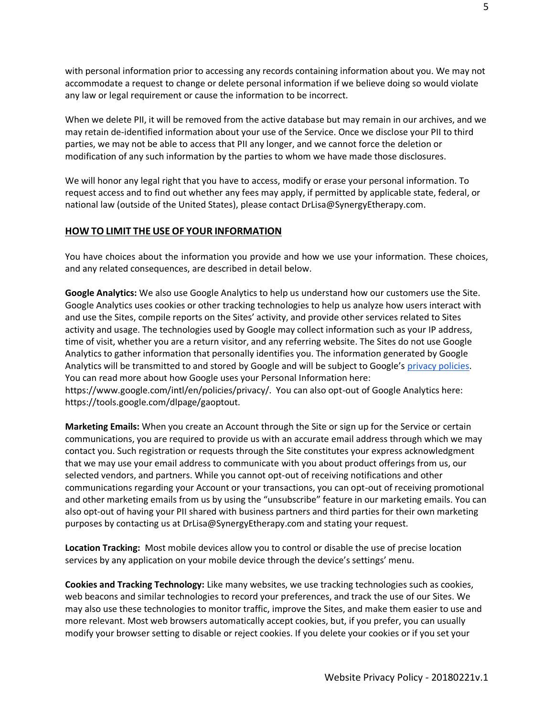with personal information prior to accessing any records containing information about you. We may not accommodate a request to change or delete personal information if we believe doing so would violate any law or legal requirement or cause the information to be incorrect.

When we delete PII, it will be removed from the active database but may remain in our archives, and we may retain de-identified information about your use of the Service. Once we disclose your PII to third parties, we may not be able to access that PII any longer, and we cannot force the deletion or modification of any such information by the parties to whom we have made those disclosures.

We will honor any legal right that you have to access, modify or erase your personal information. To request access and to find out whether any fees may apply, if permitted by applicable state, federal, or national law (outside of the United States), please contact DrLisa@SynergyEtherapy.com.

#### **HOW TO LIMIT THE USE OF YOUR INFORMATION**

You have choices about the information you provide and how we use your information. These choices, and any related consequences, are described in detail below.

**Google Analytics:** We also use Google Analytics to help us understand how our customers use the Site. Google Analytics uses cookies or other tracking technologies to help us analyze how users interact with and use the Sites, compile reports on the Sites' activity, and provide other services related to Sites activity and usage. The technologies used by Google may collect information such as your IP address, time of visit, whether you are a return visitor, and any referring website. The Sites do not use Google Analytics to gather information that personally identifies you. The information generated by Google Analytics will be transmitted to and stored by Google and will be subject to Google's [privacy policies.](http://www.google.com/policies/privacy/) You can read more about how Google uses your Personal Information here: https://www.google.com/intl/en/policies/privacy/. You can also opt-out of Google Analytics here: https://tools.google.com/dlpage/gaoptout.

**Marketing Emails:** When you create an Account through the Site or sign up for the Service or certain communications, you are required to provide us with an accurate email address through which we may contact you. Such registration or requests through the Site constitutes your express acknowledgment that we may use your email address to communicate with you about product offerings from us, our selected vendors, and partners. While you cannot opt-out of receiving notifications and other communications regarding your Account or your transactions, you can opt-out of receiving promotional and other marketing emails from us by using the "unsubscribe" feature in our marketing emails. You can also opt-out of having your PII shared with business partners and third parties for their own marketing purposes by contacting us at DrLisa@SynergyEtherapy.com and stating your request.

**Location Tracking:** Most mobile devices allow you to control or disable the use of precise location services by any application on your mobile device through the device's settings' menu.

**Cookies and Tracking Technology:** Like many websites, we use tracking technologies such as cookies, web beacons and similar technologies to record your preferences, and track the use of our Sites. We may also use these technologies to monitor traffic, improve the Sites, and make them easier to use and more relevant. Most web browsers automatically accept cookies, but, if you prefer, you can usually modify your browser setting to disable or reject cookies. If you delete your cookies or if you set your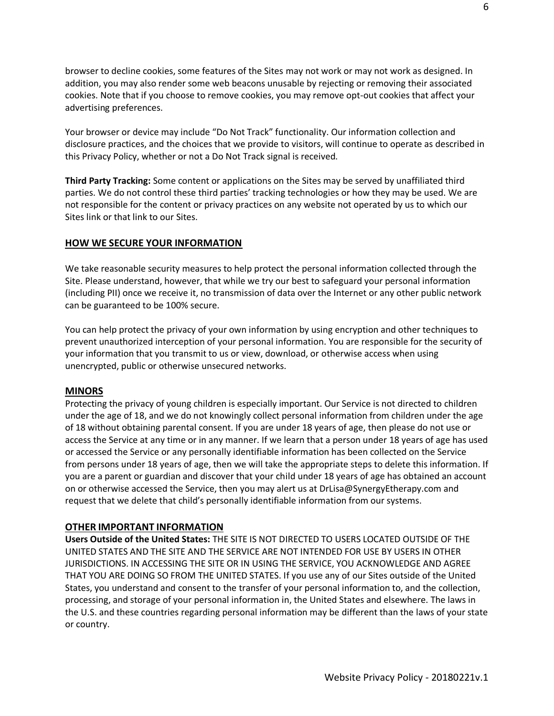browser to decline cookies, some features of the Sites may not work or may not work as designed. In addition, you may also render some web beacons unusable by rejecting or removing their associated cookies. Note that if you choose to remove cookies, you may remove opt-out cookies that affect your advertising preferences.

Your browser or device may include "Do Not Track" functionality. Our information collection and disclosure practices, and the choices that we provide to visitors, will continue to operate as described in this Privacy Policy, whether or not a Do Not Track signal is received.

**Third Party Tracking:** Some content or applications on the Sites may be served by unaffiliated third parties. We do not control these third parties' tracking technologies or how they may be used. We are not responsible for the content or privacy practices on any website not operated by us to which our Sites link or that link to our Sites.

#### **HOW WE SECURE YOUR INFORMATION**

We take reasonable security measures to help protect the personal information collected through the Site. Please understand, however, that while we try our best to safeguard your personal information (including PII) once we receive it, no transmission of data over the Internet or any other public network can be guaranteed to be 100% secure.

You can help protect the privacy of your own information by using encryption and other techniques to prevent unauthorized interception of your personal information. You are responsible for the security of your information that you transmit to us or view, download, or otherwise access when using unencrypted, public or otherwise unsecured networks.

#### **MINORS**

Protecting the privacy of young children is especially important. Our Service is not directed to children under the age of 18, and we do not knowingly collect personal information from children under the age of 18 without obtaining parental consent. If you are under 18 years of age, then please do not use or access the Service at any time or in any manner. If we learn that a person under 18 years of age has used or accessed the Service or any personally identifiable information has been collected on the Service from persons under 18 years of age, then we will take the appropriate steps to delete this information. If you are a parent or guardian and discover that your child under 18 years of age has obtained an account on or otherwise accessed the Service, then you may alert us at DrLisa@SynergyEtherapy.com and request that we delete that child's personally identifiable information from our systems.

#### **OTHER IMPORTANT [INFORMATION](https://docs.google.com/document/d/1qsmER421LVe7U6iJrZyzr20jV9sj6iROqPmJva4l1G0/edit#heading=h.2s8eyo1)**

**Users Outside of the United States:** THE SITE IS NOT DIRECTED TO USERS LOCATED OUTSIDE OF THE UNITED STATES AND THE SITE AND THE SERVICE ARE NOT INTENDED FOR USE BY USERS IN OTHER JURISDICTIONS. IN ACCESSING THE SITE OR IN USING THE SERVICE, YOU ACKNOWLEDGE AND AGREE THAT YOU ARE DOING SO FROM THE UNITED STATES. If you use any of our Sites outside of the United States, you understand and consent to the transfer of your personal information to, and the collection, processing, and storage of your personal information in, the United States and elsewhere. The laws in the U.S. and these countries regarding personal information may be different than the laws of your state or country.